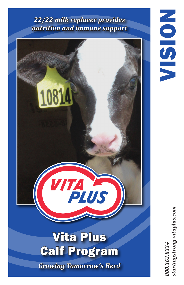## *22/22 milk replacer provides nutrition and immune support*



tartingstrong.vitaplus.com *800.362.8334 startingstrong.vitaplus.com*100.362.8334